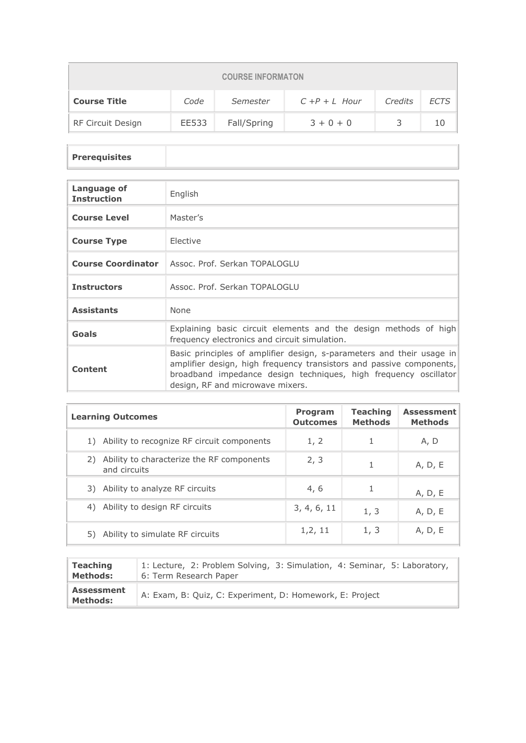| <b>COURSE INFORMATON</b>                                                              |       |             |             |  |  |  |  |
|---------------------------------------------------------------------------------------|-------|-------------|-------------|--|--|--|--|
| <b>ECTS</b><br><b>Course Title</b><br>Code<br>Credits<br>$C + P + L$ Hour<br>Semester |       |             |             |  |  |  |  |
| RF Circuit Design                                                                     | EE533 | Fall/Spring | $3 + 0 + 0$ |  |  |  |  |

## **Prerequisites**

| Language of<br><b>Instruction</b> | English                                                                                                                                                                                                                                               |
|-----------------------------------|-------------------------------------------------------------------------------------------------------------------------------------------------------------------------------------------------------------------------------------------------------|
| <b>Course Level</b>               | Master's                                                                                                                                                                                                                                              |
| <b>Course Type</b>                | <b>Flective</b>                                                                                                                                                                                                                                       |
|                                   | <b>Course Coordinator</b>   Assoc. Prof. Serkan TOPALOGLU                                                                                                                                                                                             |
| <b>Instructors</b>                | Assoc. Prof. Serkan TOPALOGLU                                                                                                                                                                                                                         |
| <b>Assistants</b>                 | None                                                                                                                                                                                                                                                  |
| Goals                             | Explaining basic circuit elements and the design methods of high<br>frequency electronics and circuit simulation.                                                                                                                                     |
| Content                           | Basic principles of amplifier design, s-parameters and their usage in<br>amplifier design, high frequency transistors and passive components,<br>broadband impedance design techniques, high frequency oscillator<br>design, RF and microwave mixers. |

| <b>Learning Outcomes</b>                                        | <b>Program</b><br><b>Outcomes</b> | Teaching<br><b>Methods</b> | <b>Assessment</b><br><b>Methods</b> |
|-----------------------------------------------------------------|-----------------------------------|----------------------------|-------------------------------------|
| Ability to recognize RF circuit components                      | 1, 2                              |                            | A, D                                |
| Ability to characterize the RF components<br>2)<br>and circuits | 2, 3                              |                            | A, D, E                             |
| 3) Ability to analyze RF circuits                               | 4,6                               | 1                          | A, D, E                             |
| Ability to design RF circuits<br>4)                             | 3, 4, 6, 11                       | 1, 3                       | A, D, E                             |
| Ability to simulate RF circuits                                 | 1, 2, 11                          | 1, 3                       | A, D, E                             |

| <b>Teaching</b>                      | 1: Lecture, 2: Problem Solving, 3: Simulation, 4: Seminar, 5: Laboratory, |
|--------------------------------------|---------------------------------------------------------------------------|
| <b>Methods:</b>                      | 6: Term Research Paper                                                    |
| <b>Assessment</b><br><b>Methods:</b> | A: Exam, B: Quiz, C: Experiment, D: Homework, E: Project                  |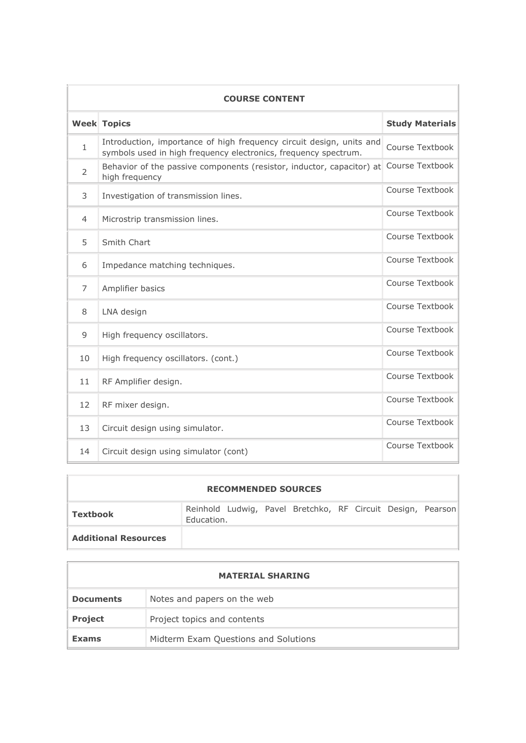| <b>COURSE CONTENT</b> |                                                                                                                                         |                        |  |  |  |  |  |
|-----------------------|-----------------------------------------------------------------------------------------------------------------------------------------|------------------------|--|--|--|--|--|
|                       | <b>Week Topics</b>                                                                                                                      | <b>Study Materials</b> |  |  |  |  |  |
| $\mathbf{1}$          | Introduction, importance of high frequency circuit design, units and<br>symbols used in high frequency electronics, frequency spectrum. | Course Textbook        |  |  |  |  |  |
| $\overline{2}$        | Behavior of the passive components (resistor, inductor, capacitor) at Course Textbook<br>high frequency                                 |                        |  |  |  |  |  |
| 3                     | Investigation of transmission lines.                                                                                                    | Course Textbook        |  |  |  |  |  |
| $\overline{4}$        | Microstrip transmission lines.                                                                                                          | Course Textbook        |  |  |  |  |  |
| 5                     | Smith Chart                                                                                                                             | Course Textbook        |  |  |  |  |  |
| 6                     | Impedance matching techniques.                                                                                                          | Course Textbook        |  |  |  |  |  |
| $\overline{7}$        | Amplifier basics                                                                                                                        | Course Textbook        |  |  |  |  |  |
| 8                     | LNA design                                                                                                                              | Course Textbook        |  |  |  |  |  |
| 9                     | High frequency oscillators.                                                                                                             | Course Textbook        |  |  |  |  |  |
| 10                    | High frequency oscillators. (cont.)                                                                                                     | Course Textbook        |  |  |  |  |  |
| 11                    | RF Amplifier design.                                                                                                                    | Course Textbook        |  |  |  |  |  |
| 12                    | RF mixer design.                                                                                                                        | Course Textbook        |  |  |  |  |  |
| 13                    | Circuit design using simulator.                                                                                                         | Course Textbook        |  |  |  |  |  |
| 14                    | Circuit design using simulator (cont)                                                                                                   | Course Textbook        |  |  |  |  |  |

| <b>RECOMMENDED SOURCES</b>  |            |  |  |                                                             |  |  |  |  |  |
|-----------------------------|------------|--|--|-------------------------------------------------------------|--|--|--|--|--|
| Textbook                    | Education. |  |  | Reinhold Ludwig, Pavel Bretchko, RF Circuit Design, Pearson |  |  |  |  |  |
| <b>Additional Resources</b> |            |  |  |                                                             |  |  |  |  |  |

| <b>MATERIAL SHARING</b> |                                      |  |  |  |  |
|-------------------------|--------------------------------------|--|--|--|--|
| <b>Documents</b>        | Notes and papers on the web          |  |  |  |  |
| <b>Project</b>          | Project topics and contents          |  |  |  |  |
| <b>Exams</b>            | Midterm Exam Questions and Solutions |  |  |  |  |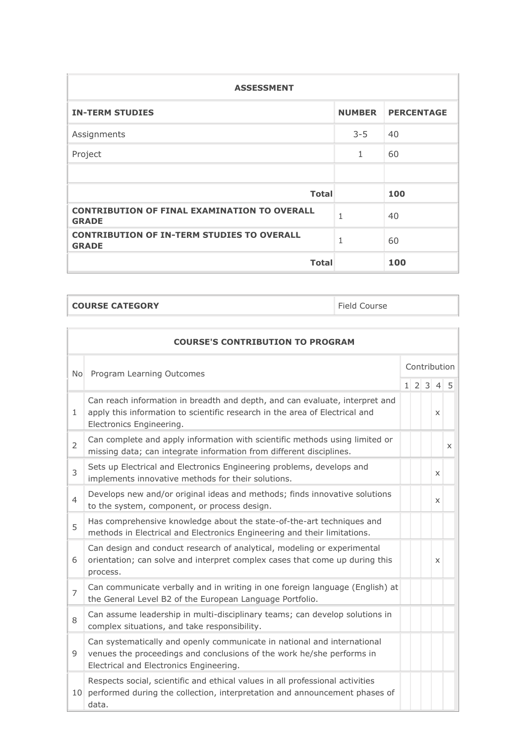| <b>ASSESSMENT</b>                                                   |               |                   |  |  |  |  |
|---------------------------------------------------------------------|---------------|-------------------|--|--|--|--|
| <b>IN-TERM STUDIES</b>                                              | <b>NUMBER</b> | <b>PERCENTAGE</b> |  |  |  |  |
| Assignments                                                         | $3 - 5$       | 40                |  |  |  |  |
| Project                                                             | 1             | 60                |  |  |  |  |
|                                                                     |               |                   |  |  |  |  |
| <b>Total</b>                                                        |               | 100               |  |  |  |  |
| <b>CONTRIBUTION OF FINAL EXAMINATION TO OVERALL</b><br><b>GRADE</b> | $\mathbf{1}$  | 40                |  |  |  |  |
| <b>CONTRIBUTION OF IN-TERM STUDIES TO OVERALL</b><br><b>GRADE</b>   | 1             | 60                |  |  |  |  |
| <b>Total</b>                                                        |               | 100               |  |  |  |  |

**COURSE CATEGORY Field Course** 

|                | <b>COURSE'S CONTRIBUTION TO PROGRAM</b>                                                                                                                                                     |  |  |              |                     |   |  |  |  |
|----------------|---------------------------------------------------------------------------------------------------------------------------------------------------------------------------------------------|--|--|--------------|---------------------|---|--|--|--|
|                | No Program Learning Outcomes                                                                                                                                                                |  |  | Contribution |                     |   |  |  |  |
|                |                                                                                                                                                                                             |  |  |              | $1 \t2 \t3 \t4 \t5$ |   |  |  |  |
| $\mathbf{1}$   | Can reach information in breadth and depth, and can evaluate, interpret and<br>apply this information to scientific research in the area of Electrical and<br>Electronics Engineering.      |  |  |              | X                   |   |  |  |  |
| $\overline{2}$ | Can complete and apply information with scientific methods using limited or<br>missing data; can integrate information from different disciplines.                                          |  |  |              |                     | X |  |  |  |
| 3              | Sets up Electrical and Electronics Engineering problems, develops and<br>implements innovative methods for their solutions.                                                                 |  |  |              | X                   |   |  |  |  |
| $\overline{4}$ | Develops new and/or original ideas and methods; finds innovative solutions<br>to the system, component, or process design.                                                                  |  |  |              | X                   |   |  |  |  |
| 5              | Has comprehensive knowledge about the state-of-the-art techniques and<br>methods in Electrical and Electronics Engineering and their limitations.                                           |  |  |              |                     |   |  |  |  |
| 6              | Can design and conduct research of analytical, modeling or experimental<br>orientation; can solve and interpret complex cases that come up during this<br>process.                          |  |  |              | $\times$            |   |  |  |  |
| $\overline{7}$ | Can communicate verbally and in writing in one foreign language (English) at<br>the General Level B2 of the European Language Portfolio.                                                    |  |  |              |                     |   |  |  |  |
| 8              | Can assume leadership in multi-disciplinary teams; can develop solutions in<br>complex situations, and take responsibility.                                                                 |  |  |              |                     |   |  |  |  |
| 9              | Can systematically and openly communicate in national and international<br>venues the proceedings and conclusions of the work he/she performs in<br>Electrical and Electronics Engineering. |  |  |              |                     |   |  |  |  |
|                | Respects social, scientific and ethical values in all professional activities<br>10 performed during the collection, interpretation and announcement phases of<br>data.                     |  |  |              |                     |   |  |  |  |